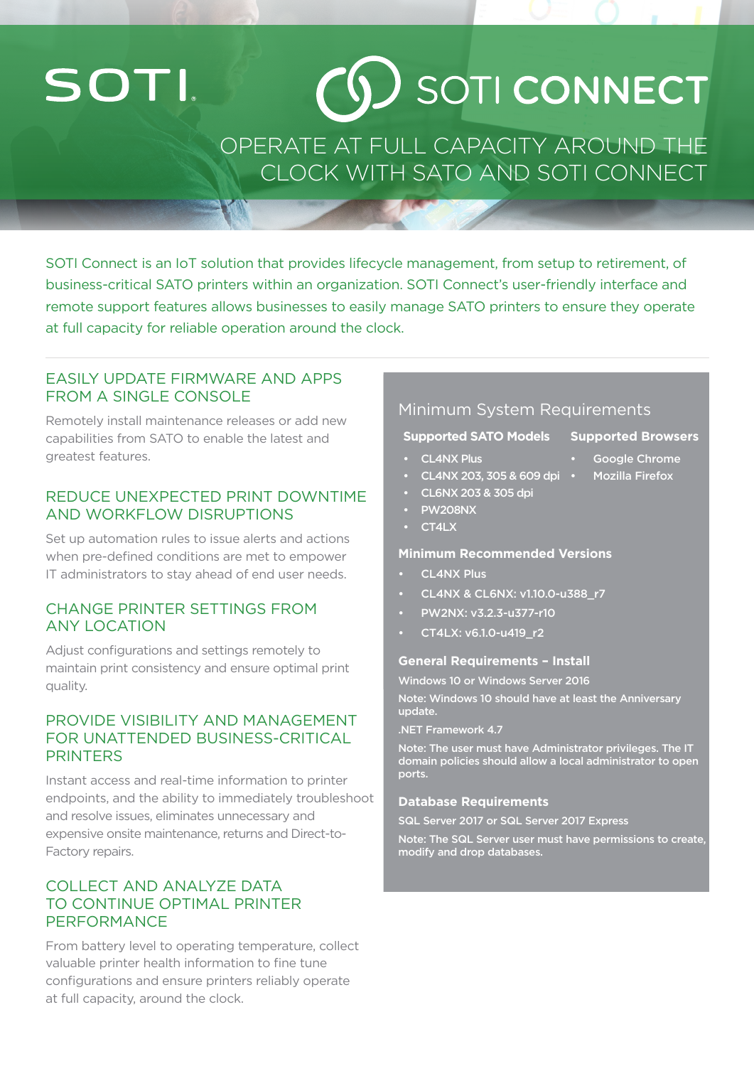# **SOTI**

# $(6)$  SOTI CONNECT

## OPERATE AT FULL CAPACITY AROUND THE CLOCK WITH SATO AND SOTI CONNECT

SOTI Connect is an IoT solution that provides lifecycle management, from setup to retirement, of business-critical SATO printers within an organization. SOTI Connect's user-friendly interface and remote support features allows businesses to easily manage SATO printers to ensure they operate at full capacity for reliable operation around the clock.

### EASILY UPDATE FIRMWARE AND APPS FROM A SINGLE CONSOLE

Remotely install maintenance releases or add new capabilities from SATO to enable the latest and greatest features.

#### REDUCE UNEXPECTED PRINT DOWNTIME AND WORKFLOW DISRUPTIONS

Set up automation rules to issue alerts and actions when pre-defined conditions are met to empower IT administrators to stay ahead of end user needs.

### CHANGE PRINTER SETTINGS FROM ANY LOCATION

Adjust configurations and settings remotely to maintain print consistency and ensure optimal print quality.

#### PROVIDE VISIBILITY AND MANAGEMENT FOR UNATTENDED BUSINESS-CRITICAL PRINTERS

Instant access and real-time information to printer endpoints, and the ability to immediately troubleshoot and resolve issues, eliminates unnecessary and expensive onsite maintenance, returns and Direct-to-Factory repairs.

#### COLLECT AND ANALYZE DATA TO CONTINUE OPTIMAL PRINTER PERFORMANCE

From battery level to operating temperature, collect valuable printer health information to fine tune configurations and ensure printers reliably operate at full capacity, around the clock.

### Minimum System Requirements

#### **Supported SATO Models Supported Browsers**

- CL4NX Plus
	- CL4NX 203, 305 & 609 dpi
- CL6NX 203 & 305 dpi
- PW208NX
- CT4LX

#### **Minimum Recommended Versions**

- CL4NX Plus
- CL4NX & CL6NX: v1.10.0-u388\_r7
- PW2NX: v3.2.3-u377-r10
- CT4LX: v6.1.0-u419\_r2

#### **General Requirements – Install**

Windows 10 or Windows Server 2016

Note: Windows 10 should have at least the Anniversary update.

.NET Framework 4.7

Note: The user must have Administrator privileges. The IT domain policies should allow a local administrator to open ports.

#### **Database Requirements**

SQL Server 2017 or SQL Server 2017 Express

Note: The SQL Server user must have permissions to create, modify and drop databases.

- Google Chrome
	- Mozilla Firefox